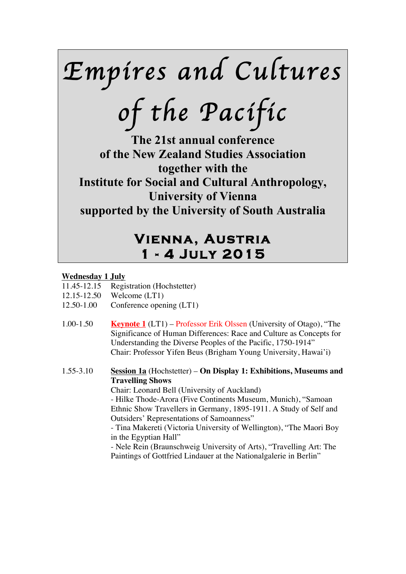*Empires and Cultures* 

*of the Pacific* 

**The 21st annual conference of the New Zealand Studies Association together with the Institute for Social and Cultural Anthropology, University of Vienna supported by the University of South Australia**

# **Vienna, Austria 1 - 4 July 2015**

### **Wednesday 1 July**

- 11.45-12.15 Registration (Hochstetter)
- 12.15-12.50 Welcome (LT1)
- 12.50-1.00 Conference opening (LT1)
- 1.00-1.50 **Keynote 1** (LT1) Professor Erik Olssen (University of Otago), "The Significance of Human Differences: Race and Culture as Concepts for Understanding the Diverse Peoples of the Pacific, 1750-1914" Chair: Professor Yifen Beus (Brigham Young University, Hawai'i)

1.55-3.10 **Session 1a** (Hochstetter) – **On Display 1: Exhibitions, Museums and Travelling Shows**

Chair: Leonard Bell (University of Auckland)

- Hilke Thode-Arora (Five Continents Museum, Munich), "Samoan Ethnic Show Travellers in Germany, 1895-1911. A Study of Self and Outsiders' Representations of Samoanness"

- Tina Makereti (Victoria University of Wellington), "The Maori Boy in the Egyptian Hall"

- Nele Rein (Braunschweig University of Arts), "Travelling Art: The Paintings of Gottfried Lindauer at the Nationalgalerie in Berlin"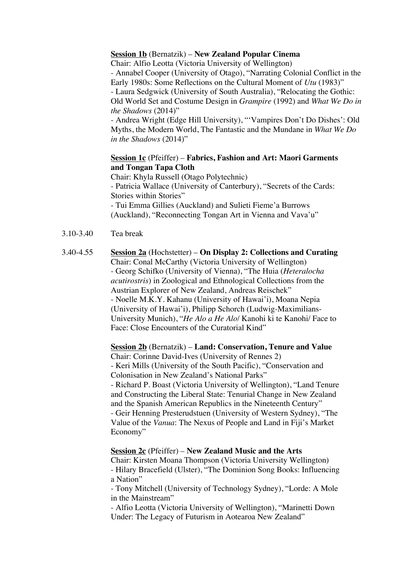### **Session 1b** (Bernatzik) – **New Zealand Popular Cinema**

Chair: Alfio Leotta (Victoria University of Wellington) - Annabel Cooper (University of Otago), "Narrating Colonial Conflict in the Early 1980s: Some Reflections on the Cultural Moment of *Utu* (1983)" - Laura Sedgwick (University of South Australia), "Relocating the Gothic: Old World Set and Costume Design in *Grampire* (1992) and *What We Do in the Shadows* (2014)"

- Andrea Wright (Edge Hill University), "'Vampires Don't Do Dishes': Old Myths, the Modern World, The Fantastic and the Mundane in *What We Do in the Shadows* (2014)"

### **Session 1c** (Pfeiffer) – **Fabrics, Fashion and Art: Maori Garments and Tongan Tapa Cloth**

Chair: Khyla Russell (Otago Polytechnic) - Patricia Wallace (University of Canterbury), "Secrets of the Cards: Stories within Stories" - Tui Emma Gillies (Auckland) and Sulieti Fieme'a Burrows (Auckland), "Reconnecting Tongan Art in Vienna and Vava'u"

- 3.10-3.40 Tea break
- 3.40-4.55 **Session 2a** (Hochstetter) **On Display 2: Collections and Curating** Chair: Conal McCarthy (Victoria University of Wellington) - Georg Schifko (University of Vienna), "The Huia (*Heteralocha acutirostris*) in Zoological and Ethnological Collections from the Austrian Explorer of New Zealand, Andreas Reischek" - Noelle M.K.Y. Kahanu (University of Hawai'i), Moana Nepia (University of Hawai'i), Philipp Schorch (Ludwig-Maximilians-University Munich), "*He Alo a He Alo*/ Kanohi ki te Kanohi/ Face to Face: Close Encounters of the Curatorial Kind"

**Session 2b** (Bernatzik) – **Land: Conservation, Tenure and Value** Chair: Corinne David-Ives (University of Rennes 2) - Keri Mills (University of the South Pacific), "Conservation and Colonisation in New Zealand's National Parks"

- Richard P. Boast (Victoria University of Wellington), "Land Tenure and Constructing the Liberal State: Tenurial Change in New Zealand and the Spanish American Republics in the Nineteenth Century" - Geir Henning Presterudstuen (University of Western Sydney), "The Value of the *Vanua*: The Nexus of People and Land in Fiji's Market Economy"

### **Session 2c** (Pfeiffer) – **New Zealand Music and the Arts**

Chair: Kirsten Moana Thompson (Victoria University Wellington) - Hilary Bracefield (Ulster), "The Dominion Song Books: Influencing a Nation"

- Tony Mitchell (University of Technology Sydney), "Lorde: A Mole in the Mainstream"

- Alfio Leotta (Victoria University of Wellington), "Marinetti Down Under: The Legacy of Futurism in Aotearoa New Zealand"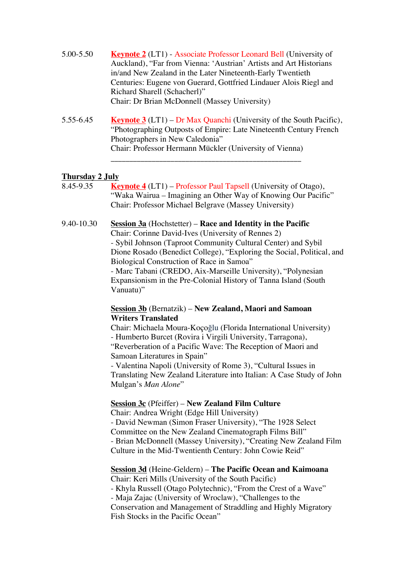- 5.00-5.50 **Keynote 2** (LT1) Associate Professor Leonard Bell (University of Auckland), "Far from Vienna: 'Austrian' Artists and Art Historians in/and New Zealand in the Later Nineteenth-Early Twentieth Centuries: Eugene von Guerard, Gottfried Lindauer Alois Riegl and Richard Sharell (Schacherl)" Chair: Dr Brian McDonnell (Massey University)
- 5.55-6.45 **Keynote 3** (LT1) Dr Max Quanchi (University of the South Pacific), "Photographing Outposts of Empire: Late Nineteenth Century French Photographers in New Caledonia" Chair: Professor Hermann Mückler (University of Vienna)

\_\_\_\_\_\_\_\_\_\_\_\_\_\_\_\_\_\_\_\_\_\_\_\_\_\_\_\_\_\_\_\_\_\_\_\_\_\_\_\_\_\_\_\_\_\_\_\_\_\_\_

### **Thursday 2 July**

| 8.45-9.35  | <b>Keynote 4</b> (LT1) – Professor Paul Tapsell (University of Otago),<br>"Waka Wairua - Imagining an Other Way of Knowing Our Pacific"<br>Chair: Professor Michael Belgrave (Massey University)                                                                                                                                                                                                                                                                                                |
|------------|-------------------------------------------------------------------------------------------------------------------------------------------------------------------------------------------------------------------------------------------------------------------------------------------------------------------------------------------------------------------------------------------------------------------------------------------------------------------------------------------------|
| 9.40-10.30 | <b><u>Session 3a</u></b> (Hochstetter) – Race and Identity in the Pacific<br>Chair: Corinne David-Ives (University of Rennes 2)<br>- Sybil Johnson (Taproot Community Cultural Center) and Sybil<br>Dione Rosado (Benedict College), "Exploring the Social, Political, and<br>Biological Construction of Race in Samoa"<br>- Marc Tabani (CREDO, Aix-Marseille University), "Polynesian<br>Expansionism in the Pre-Colonial History of Tanna Island (South<br>Vanuatu)"                         |
|            | <b>Session 3b</b> (Bernatzik) – New Zealand, Maori and Samoan<br><b>Writers Translated</b><br>Chair: Michaela Moura-Koçoğlu (Florida International University)<br>- Humberto Burcet (Rovira i Virgili University, Tarragona),<br>"Reverberation of a Pacific Wave: The Reception of Maori and<br>Samoan Literatures in Spain"<br>- Valentina Napoli (University of Rome 3), "Cultural Issues in<br>Translating New Zealand Literature into Italian: A Case Study of John<br>Mulgan's Man Alone" |
|            | <b>Session 3c</b> (Pfeiffer) - New Zealand Film Culture<br>Chair: Andrea Wright (Edge Hill University)<br>- David Newman (Simon Fraser University), "The 1928 Select<br>Committee on the New Zealand Cinematograph Films Bill"<br>- Brian McDonnell (Massey University), "Creating New Zealand Film<br>Culture in the Mid-Twentienth Century: John Cowie Reid"                                                                                                                                  |
|            | Session 3d (Heine-Geldern) - The Pacific Ocean and Kaimoana<br>Chair: Keri Mills (University of the South Pacific)<br>- Khyla Russell (Otago Polytechnic), "From the Crest of a Wave"<br>- Maja Zajac (University of Wroclaw), "Challenges to the<br>Conservation and Management of Straddling and Highly Migratory<br>Fish Stocks in the Pacific Ocean"                                                                                                                                        |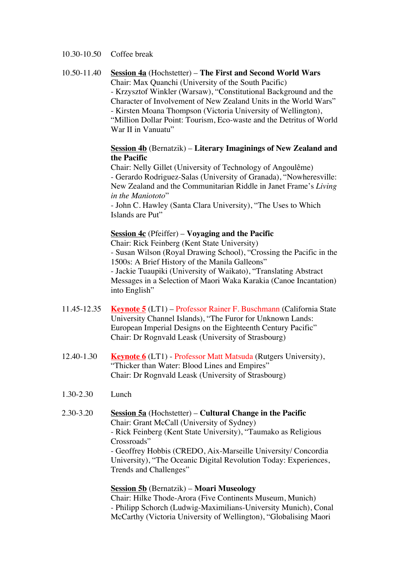### 10.30-10.50 Coffee break

10.50-11.40 **Session 4a** (Hochstetter) – **The First and Second World Wars** Chair: Max Quanchi (University of the South Pacific) - Krzysztof Winkler (Warsaw), "Constitutional Background and the Character of Involvement of New Zealand Units in the World Wars" - Kirsten Moana Thompson (Victoria University of Wellington), "Million Dollar Point: Tourism, Eco-waste and the Detritus of World War II in Vanuatu"

### **Session 4b** (Bernatzik) – **Literary Imaginings of New Zealand and the Pacific**

Chair: Nelly Gillet (University of Technology of Angoulême) - Gerardo Rodriguez-Salas (University of Granada), "Nowheresville: New Zealand and the Communitarian Riddle in Janet Frame's *Living in the Maniototo*"

- John C. Hawley (Santa Clara University), "The Uses to Which Islands are Put"

### **Session 4c** (Pfeiffer) – **Voyaging and the Pacific**

Chair: Rick Feinberg (Kent State University) - Susan Wilson (Royal Drawing School), "Crossing the Pacific in the 1500s: A Brief History of the Manila Galleons" - Jackie Tuaupiki (University of Waikato), "Translating Abstract Messages in a Selection of Maori Waka Karakia (Canoe Incantation) into English"

- 11.45-12.35 **Keynote 5** (LT1) Professor Rainer F. Buschmann (California State University Channel Islands), "The Furor for Unknown Lands: European Imperial Designs on the Eighteenth Century Pacific" Chair: Dr Rognvald Leask (University of Strasbourg)
- 12.40-1.30 **Keynote 6** (LT1) Professor Matt Matsuda (Rutgers University), "Thicker than Water: Blood Lines and Empires" Chair: Dr Rognvald Leask (University of Strasbourg)
- 1.30-2.30 Lunch
- 2.30-3.20 **Session 5a** (Hochstetter) **Cultural Change in the Pacific** Chair: Grant McCall (University of Sydney) - Rick Feinberg (Kent State University), "Taumako as Religious Crossroads" - Geoffrey Hobbis (CREDO, Aix-Marseille University/ Concordia University), "The Oceanic Digital Revolution Today: Experiences, Trends and Challenges"

## **Session 5b** (Bernatzik) – **Moari Museology**

Chair: Hilke Thode-Arora (Five Continents Museum, Munich) - Philipp Schorch (Ludwig-Maximilians-University Munich), Conal McCarthy (Victoria University of Wellington), "Globalising Maori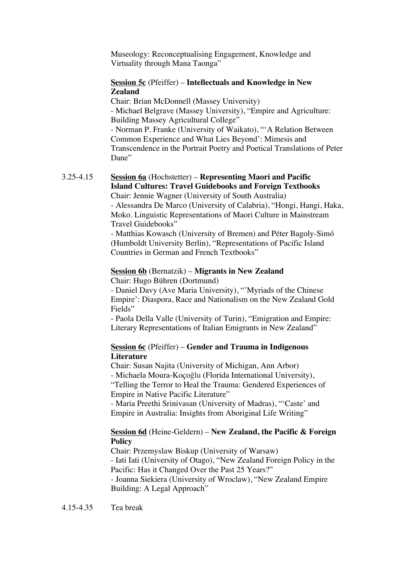Museology: Reconceptualising Engagement, Knowledge and Virtuality through Mana Taonga"

### **Session 5c** (Pfeiffer) – **Intellectuals and Knowledge in New Zealand**

Chair: Brian McDonnell (Massey University) - Michael Belgrave (Massey University), "Empire and Agriculture: Building Massey Agricultural College" - Norman P. Franke (University of Waikato), "'A Relation Between Common Experience and What Lies Beyond': Mimesis and Transcendence in the Portrait Poetry and Poetical Translations of Peter Dane"

### 3.25-4.15 **Session 6a** (Hochstetter) – **Representing Maori and Pacific Island Cultures: Travel Guidebooks and Foreign Textbooks**

Chair: Jennie Wagner (University of South Australia) - Alessandra De Marco (University of Calabria), "Hongi, Hangi, Haka, Moko. Linguistic Representations of Maori Culture in Mainstream Travel Guidebooks"

- Matthias Kowasch (University of Bremen) and Péter Bagoly-Simó (Humboldt University Berlin), "Representations of Pacific Island Countries in German and French Textbooks"

### **Session 6b** (Bernatzik) – **Migrants in New Zealand**

Chair: Hugo Bühren (Dortmund)

- Daniel Davy (Ave Maria University), "'Myriads of the Chinese Empire': Diaspora, Race and Nationalism on the New Zealand Gold Fields"

- Paola Della Valle (University of Turin), "Emigration and Empire: Literary Representations of Italian Emigrants in New Zealand"

### **Session 6c** (Pfeiffer) – **Gender and Trauma in Indigenous Literature**

Chair: Susan Najita (University of Michigan, Ann Arbor) - Michaela Moura-Koçoğlu (Florida International University), "Telling the Terror to Heal the Trauma: Gendered Experiences of Empire in Native Pacific Literature"

- Maria Preethi Srinivasan (University of Madras), "'Caste' and Empire in Australia: Insights from Aboriginal Life Writing"

### **Session 6d** (Heine-Geldern) – **New Zealand, the Pacific & Foreign Policy**

Chair: Przemyslaw Biskup (University of Warsaw) - Iati Iati (University of Otago), "New Zealand Foreign Policy in the Pacific: Has it Changed Over the Past 25 Years?"

- Joanna Siekiera (University of Wroclaw), "New Zealand Empire Building: A Legal Approach"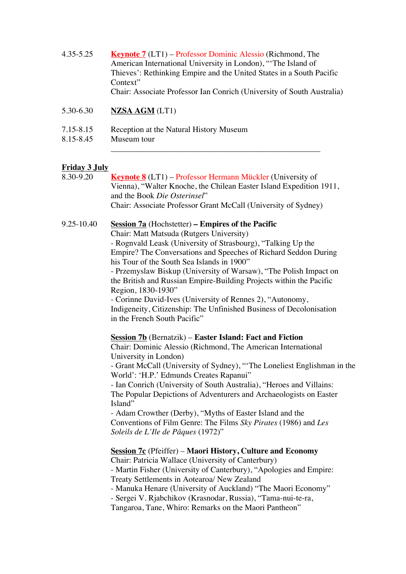4.35-5.25 **Keynote 7** (LT1) – Professor Dominic Alessio (Richmond, The American International University in London), "'The Island of Thieves': Rethinking Empire and the United States in a South Pacific Context" Chair: Associate Professor Ian Conrich (University of South Australia)

\_\_\_\_\_\_\_\_\_\_\_\_\_\_\_\_\_\_\_\_\_\_\_\_\_\_\_\_\_\_\_\_\_\_\_\_\_\_\_\_\_\_\_\_\_\_\_\_\_\_\_

- 5.30-6.30 **NZSA AGM** (LT1)
- 7.15-8.15 Reception at the Natural History Museum
- 8.15-8.45 Museum tour

### **Friday 3 July**

8.30-9.20 **Keynote 8** (LT1) – Professor Hermann Mückler (University of Vienna), "Walter Knoche, the Chilean Easter Island Expedition 1911, and the Book *Die Osterinsel*" Chair: Associate Professor Grant McCall (University of Sydney) 9.25-10.40 **Session 7a** (Hochstetter) **– Empires of the Pacific** Chair: Matt Matsuda (Rutgers University) - Rognvald Leask (University of Strasbourg), "Talking Up the Empire? The Conversations and Speeches of Richard Seddon During his Tour of the South Sea Islands in 1900" - Przemyslaw Biskup (University of Warsaw), "The Polish Impact on the British and Russian Empire-Building Projects within the Pacific Region, 1830-1930" - Corinne David-Ives (University of Rennes 2), "Autonomy, Indigeneity, Citizenship: The Unfinished Business of Decolonisation in the French South Pacific" **Session 7b** (Bernatzik) – **Easter Island: Fact and Fiction** Chair: Dominic Alessio (Richmond, The American International University in London) - Grant McCall (University of Sydney), "'The Loneliest Englishman in the World': 'H.P.' Edmunds Creates Rapanui" - Ian Conrich (University of South Australia), "Heroes and Villains: The Popular Depictions of Adventurers and Archaeologists on Easter Island" - Adam Crowther (Derby), "Myths of Easter Island and the Conventions of Film Genre: The Films *Sky Pirates* (1986) and *Les Soleils de L'Ile de Pâques* (1972)" **Session 7c** (Pfeiffer) – **Maori History, Culture and Economy**  Chair: Patricia Wallace (University of Canterbury) - Martin Fisher (University of Canterbury), "Apologies and Empire: Treaty Settlements in Aotearoa/ New Zealand - Manuka Henare (University of Auckland) "The Maori Economy" - Sergei V. Rjabchikov (Krasnodar, Russia), "Tama-nui-te-ra,

Tangaroa, Tane, Whiro: Remarks on the Maori Pantheon"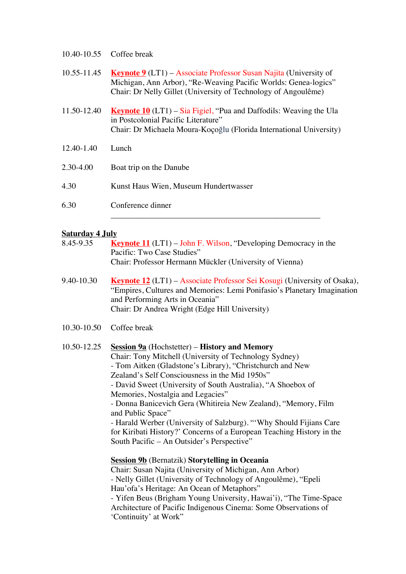|             | 10.40-10.55 Coffee break                                                                                                                                                                                      |
|-------------|---------------------------------------------------------------------------------------------------------------------------------------------------------------------------------------------------------------|
| 10.55-11.45 | <b>Keynote 9</b> (LT1) – Associate Professor Susan Najita (University of<br>Michigan, Ann Arbor), "Re-Weaving Pacific Worlds: Genea-logics"<br>Chair: Dr Nelly Gillet (University of Technology of Angoulême) |
| 11.50-12.40 | <b>Keynote 10</b> (LT1) – Sia Figiel, "Pua and Daffodils: Weaving the Ula<br>in Postcolonial Pacific Literature"<br>Chair: Dr Michaela Moura-Koçoğlu (Florida International University)                       |
| 12.40-1.40  | Lunch                                                                                                                                                                                                         |
| 2.30-4.00   | Boat trip on the Danube                                                                                                                                                                                       |
| 4.30        | Kunst Haus Wien, Museum Hundertwasser                                                                                                                                                                         |
| 6.30        | Conference dinner                                                                                                                                                                                             |
|             |                                                                                                                                                                                                               |

### **Saturday 4 July**

| 8.45-9.35       | <b>Keynote 11</b> (LT1) – John F. Wilson, "Developing Democracy in the<br>Pacific: Two Case Studies"                                                                                                                                                                                                                                                                                                                                                                                                                                                                                                                                  |
|-----------------|---------------------------------------------------------------------------------------------------------------------------------------------------------------------------------------------------------------------------------------------------------------------------------------------------------------------------------------------------------------------------------------------------------------------------------------------------------------------------------------------------------------------------------------------------------------------------------------------------------------------------------------|
|                 | Chair: Professor Hermann Mückler (University of Vienna)                                                                                                                                                                                                                                                                                                                                                                                                                                                                                                                                                                               |
| 9.40-10.30      | <b>Keynote 12</b> (LT1) – Associate Professor Sei Kosugi (University of Osaka),<br>"Empires, Cultures and Memories: Lemi Ponifasio's Planetary Imagination<br>and Performing Arts in Oceania"<br>Chair: Dr Andrea Wright (Edge Hill University)                                                                                                                                                                                                                                                                                                                                                                                       |
| $10.30 - 10.50$ | Coffee break                                                                                                                                                                                                                                                                                                                                                                                                                                                                                                                                                                                                                          |
| 10.50-12.25     | <b><u>Session 9a</u></b> (Hochstetter) – <b>History and Memory</b><br>Chair: Tony Mitchell (University of Technology Sydney)<br>- Tom Aitken (Gladstone's Library), "Christchurch and New<br>Zealand's Self Consciousness in the Mid 1950s"<br>- David Sweet (University of South Australia), "A Shoebox of<br>Memories, Nostalgia and Legacies"<br>- Donna Banicevich Gera (Whitireia New Zealand), "Memory, Film<br>and Public Space"<br>- Harald Werber (University of Salzburg). "'Why Should Fijians Care<br>for Kiribati History?' Concerns of a European Teaching History in the<br>South Pacific - An Outsider's Perspective" |
|                 | <b>Session 9b</b> (Bernatzik) Storytelling in Oceania<br>Chair: Susan Najita (University of Michigan, Ann Arbor)<br>- Nelly Gillet (University of Technology of Angoulême), "Epeli<br>Hau'ofa's Heritage: An Ocean of Metaphors"<br>- Yifen Beus (Brigham Young University, Hawai'i), "The Time-Space<br>Architecture of Pacific Indigenous Cinema: Some Observations of<br>'Continuity' at Work"                                                                                                                                                                                                                                     |